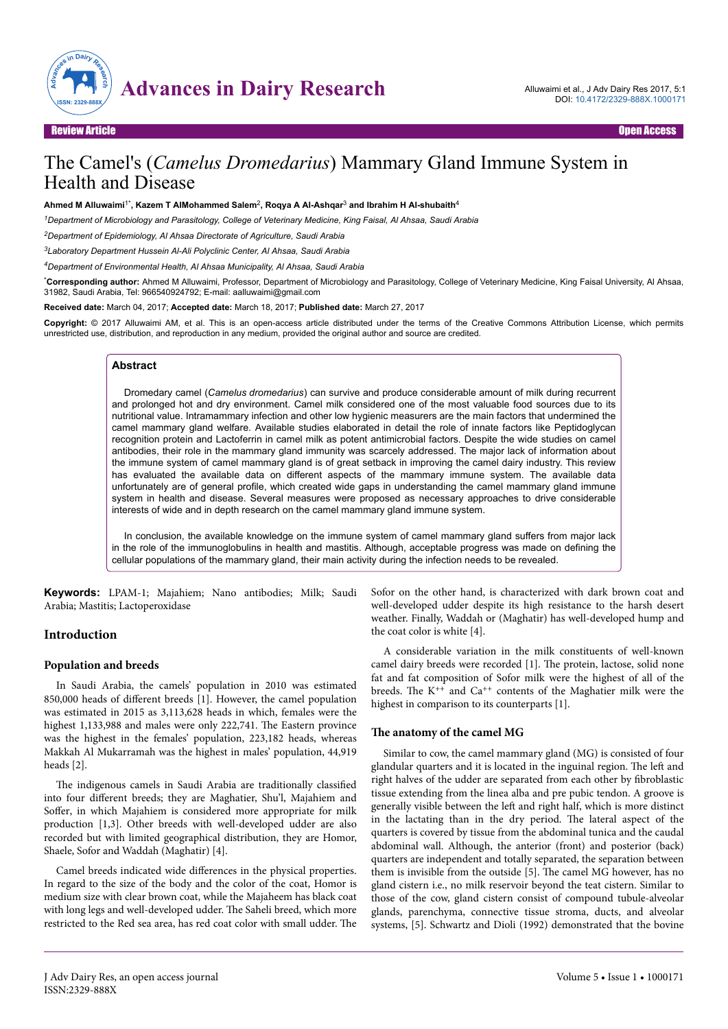

# The Camel's (*Camelus Dromedarius*) Mammary Gland Immune System in Health and Disease

**Ahmed M Alluwaimi**1\***, Kazem T AlMohammed Salem**<sup>2</sup> **, Roqya A Al-Ashqar**<sup>3</sup>  **and Ibrahim H Al-shubaith**<sup>4</sup>

*<sup>1</sup>Department of Microbiology and Parasitology, College of Veterinary Medicine, King Faisal, Al Ahsaa, Saudi Arabia*

*<sup>2</sup>Department of Epidemiology, Al Ahsaa Directorate of Agriculture, Saudi Arabia*

*<sup>3</sup>Laboratory Department Hussein Al-Ali Polyclinic Center, Al Ahsaa, Saudi Arabia*

*<sup>4</sup>Department of Environmental Health, Al Ahsaa Municipality, Al Ahsaa, Saudi Arabia*

\***Corresponding author:** Ahmed M Alluwaimi, Professor, Department of Microbiology and Parasitology, College of Veterinary Medicine, King Faisal University, Al Ahsaa, 31982, Saudi Arabia, Tel: 966540924792; E-mail: aalluwaimi@gmail.com

**Received date:** March 04, 2017; **Accepted date:** March 18, 2017; **Published date:** March 27, 2017

**Copyright:** © 2017 Alluwaimi AM, et al. This is an open-access article distributed under the terms of the Creative Commons Attribution License, which permits unrestricted use, distribution, and reproduction in any medium, provided the original author and source are credited.

#### **Abstract**

Dromedary camel (*Camelus dromedarius*) can survive and produce considerable amount of milk during recurrent and prolonged hot and dry environment. Camel milk considered one of the most valuable food sources due to its nutritional value. Intramammary infection and other low hygienic measurers are the main factors that undermined the camel mammary gland welfare. Available studies elaborated in detail the role of innate factors like Peptidoglycan recognition protein and Lactoferrin in camel milk as potent antimicrobial factors. Despite the wide studies on camel antibodies, their role in the mammary gland immunity was scarcely addressed. The major lack of information about the immune system of camel mammary gland is of great setback in improving the camel dairy industry. This review has evaluated the available data on different aspects of the mammary immune system. The available data unfortunately are of general profile, which created wide gaps in understanding the camel mammary gland immune system in health and disease. Several measures were proposed as necessary approaches to drive considerable interests of wide and in depth research on the camel mammary gland immune system.

In conclusion, the available knowledge on the immune system of camel mammary gland suffers from major lack in the role of the immunoglobulins in health and mastitis. Although, acceptable progress was made on defining the cellular populations of the mammary gland, their main activity during the infection needs to be revealed.

**Keywords:** LPAM-1; Majahiem; Nano antibodies; Milk; Saudi Arabia; Mastitis; Lactoperoxidase

# **Introduction**

#### **Population and breeds**

In Saudi Arabia, the camels' population in 2010 was estimated 850,000 heads of different breeds [1]. However, the camel population was estimated in 2015 as 3,113,628 heads in which, females were the highest 1,133,988 and males were only 222,741. The Eastern province was the highest in the females' population, 223,182 heads, whereas Makkah Al Mukarramah was the highest in males' population, 44,919 heads [2].

The indigenous camels in Saudi Arabia are traditionally classified into four different breeds; they are Maghatier, Shu'l, Majahiem and Soffer, in which Majahiem is considered more appropriate for milk production [1,3]. Other breeds with well-developed udder are also recorded but with limited geographical distribution, they are Homor, Shaele, Sofor and Waddah (Maghatir) [4].

Camel breeds indicated wide differences in the physical properties. In regard to the size of the body and the color of the coat, Homor is medium size with clear brown coat, while the Majaheem has black coat with long legs and well-developed udder. Нe Saheli breed, which more restricted to the Red sea area, has red coat color with small udder. Нe

Sofor on the other hand, is characterized with dark brown coat and well-developed udder despite its high resistance to the harsh desert weather. Finally, Waddah or (Maghatir) has well-developed hump and the coat color is white [4].

A considerable variation in the milk constituents of well-known camel dairy breeds were recorded [1]. Нe protein, lactose, solid none fat and fat composition of Sofor milk were the highest of all of the breeds. The  $K^{++}$  and  $Ca^{++}$  contents of the Maghatier milk were the highest in comparison to its counterparts [1].

#### The anatomy of the camel MG

Similar to cow, the camel mammary gland (MG) is consisted of four glandular quarters and it is located in the inguinal region. The left and right halves of the udder are separated from each other by fibroblastic tissue extending from the linea alba and pre pubic tendon. A groove is generally visible between the left and right half, which is more distinct in the lactating than in the dry period. Нe lateral aspect of the quarters is covered by tissue from the abdominal tunica and the caudal abdominal wall. Although, the anterior (front) and posterior (back) quarters are independent and totally separated, the separation between them is invisible from the outside [5]. Нe camel MG however, has no gland cistern i.e., no milk reservoir beyond the teat cistern. Similar to those of the cow, gland cistern consist of compound tubule-alveolar glands, parenchyma, connective tissue stroma, ducts, and alveolar systems, [5]. Schwartz and Dioli (1992) demonstrated that the bovine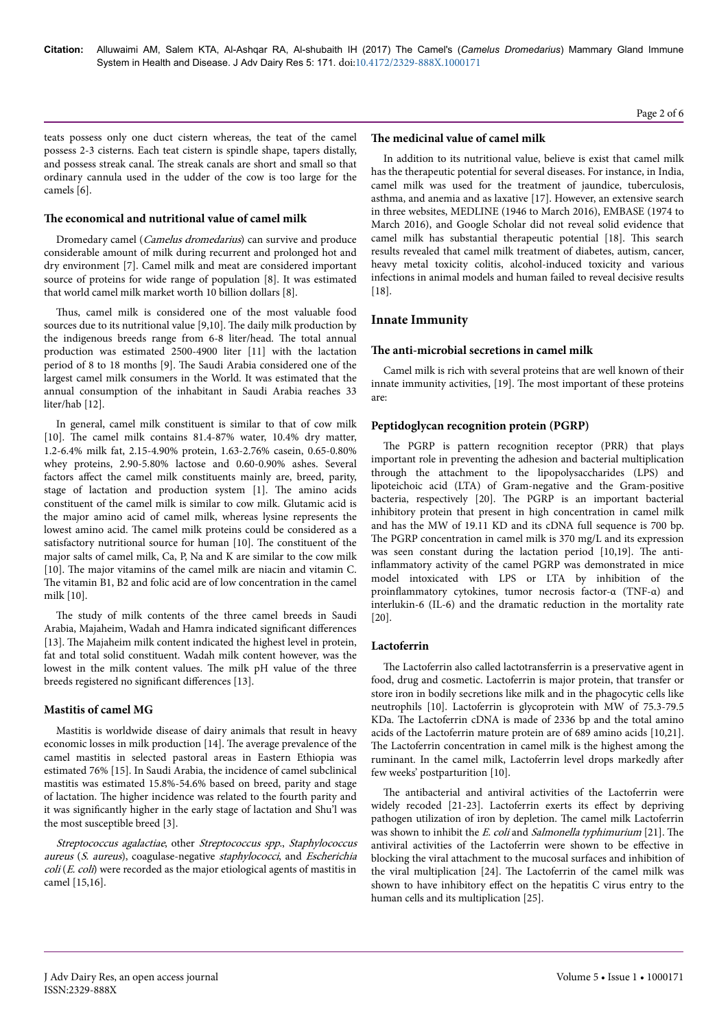# Page 2 of 6

teats possess only one duct cistern whereas, the teat of the camel possess 2-3 cisterns. Each teat cistern is spindle shape, tapers distally, and possess streak canal. Нe streak canals are short and small so that ordinary cannula used in the udder of the cow is too large for the camels [6].

# The economical and nutritional value of camel milk

Dromedary camel (Camelus dromedarius) can survive and produce considerable amount of milk during recurrent and prolonged hot and dry environment [7]. Camel milk and meat are considered important source of proteins for wide range of population [8]. It was estimated that world camel milk market worth 10 billion dollars [8].

Thus, camel milk is considered one of the most valuable food sources due to its nutritional value [9,10]. Нe daily milk production by the indigenous breeds range from 6-8 liter/head. The total annual production was estimated 2500-4900 liter [11] with the lactation period of 8 to 18 months [9]. Нe Saudi Arabia considered one of the largest camel milk consumers in the World. It was estimated that the annual consumption of the inhabitant in Saudi Arabia reaches 33 liter/hab [12].

In general, camel milk constituent is similar to that of cow milk [10]. The camel milk contains 81.4-87% water, 10.4% dry matter, 1.2-6.4% milk fat, 2.15-4.90% protein, 1.63-2.76% casein, 0.65-0.80% whey proteins, 2.90-5.80% lactose and 0.60-0.90% ashes. Several factors affect the camel milk constituents mainly are, breed, parity, stage of lactation and production system [1]. Нe amino acids constituent of the camel milk is similar to cow milk. Glutamic acid is the major amino acid of camel milk, whereas lysine represents the lowest amino acid. Нe camel milk proteins could be considered as a satisfactory nutritional source for human [10]. Нe constituent of the major salts of camel milk, Ca, P, Na and K are similar to the cow milk [10]. The major vitamins of the camel milk are niacin and vitamin C. The vitamin B1, B2 and folic acid are of low concentration in the camel milk [10].

The study of milk contents of the three camel breeds in Saudi Arabia, Majaheim, Wadah and Hamra indicated significant differences [13]. The Majaheim milk content indicated the highest level in protein, fat and total solid constituent. Wadah milk content however, was the lowest in the milk content values. Нe milk pH value of the three breeds registered no significant differences [13].

# **Mastitis of camel MG**

Mastitis is worldwide disease of dairy animals that result in heavy economic losses in milk production [14]. Нe average prevalence of the camel mastitis in selected pastoral areas in Eastern Ethiopia was estimated 76% [15]. In Saudi Arabia, the incidence of camel subclinical mastitis was estimated 15.8%-54.6% based on breed, parity and stage of lactation. Нe higher incidence was related to the fourth parity and it was significantly higher in the early stage of lactation and Shu'l was the most susceptible breed [3].

Streptococcus agalactiae, other Streptococcus spp., Staphylococcus aureus (S. aureus), coagulase-negative staphylococci, and Escherichia  $\text{coli}$  (*E. coli*) were recorded as the major etiological agents of mastitis in camel [15,16].

# **The medicinal value of camel milk**

In addition to its nutritional value, believe is exist that camel milk has the therapeutic potential for several diseases. For instance, in India, camel milk was used for the treatment of jaundice, tuberculosis, asthma, and anemia and as laxative [17]. However, an extensive search in three websites, MEDLINE (1946 to March 2016), EMBASE (1974 to March 2016), and Google Scholar did not reveal solid evidence that camel milk has substantial therapeutic potential [18]. Нis search results revealed that camel milk treatment of diabetes, autism, cancer, heavy metal toxicity colitis, alcohol-induced toxicity and various infections in animal models and human failed to reveal decisive results [18].

# **Innate Immunity**

# The anti-microbial secretions in camel milk

Camel milk is rich with several proteins that are well known of their innate immunity activities, [19]. Нe most important of these proteins are:

# **Peptidoglycan recognition protein (PGRP)**

The PGRP is pattern recognition receptor (PRR) that plays important role in preventing the adhesion and bacterial multiplication through the attachment to the lipopolysaccharides (LPS) and lipoteichoic acid (LTA) of Gram-negative and the Gram-positive bacteria, respectively [20]. Нe PGRP is an important bacterial inhibitory protein that present in high concentration in camel milk and has the MW of 19.11 KD and its cDNA full sequence is 700 bp. The PGRP concentration in camel milk is 370 mg/L and its expression was seen constant during the lactation period [10,19]. Нe antiinflammatory activity of the camel PGRP was demonstrated in mice model intoxicated with LPS or LTA by inhibition of the proinflammator\ cytokines, tumor necrosis factor-α (TNF-α) and interlukin-6 (IL-6) and the dramatic reduction in the mortality rate [20].

#### **Lactoferrin**

The Lactoferrin also called lactotransferrin is a preservative agent in food, drug and cosmetic. Lactoferrin is major protein, that transfer or store iron in bodily secretions like milk and in the phagocytic cells like neutrophils [10]. Lactoferrin is glycoprotein with MW of 75.3-79.5 KDa. The Lactoferrin cDNA is made of 2336 bp and the total amino acids of the Lactoferrin mature protein are of 689 amino acids [10,21]. The Lactoferrin concentration in camel milk is the highest among the ruminant. In the camel milk, Lactoferrin level drops markedly after few weeks' postparturition [10].

The antibacterial and antiviral activities of the Lactoferrin were widely recoded [21-23]. Lactoferrin exerts its effect by depriving pathogen utilization of iron by depletion. Нe camel milk Lactoferrin was shown to inhibit the E. coli and Salmonella typhimurium [21]. The antiviral activities of the Lactoferrin were shown to be effective in blocking the viral attachment to the mucosal surfaces and inhibition of the viral multiplication [24]. Нe Lactoferrin of the camel milk was shown to have inhibitory effect on the hepatitis C virus entry to the human cells and its multiplication [25].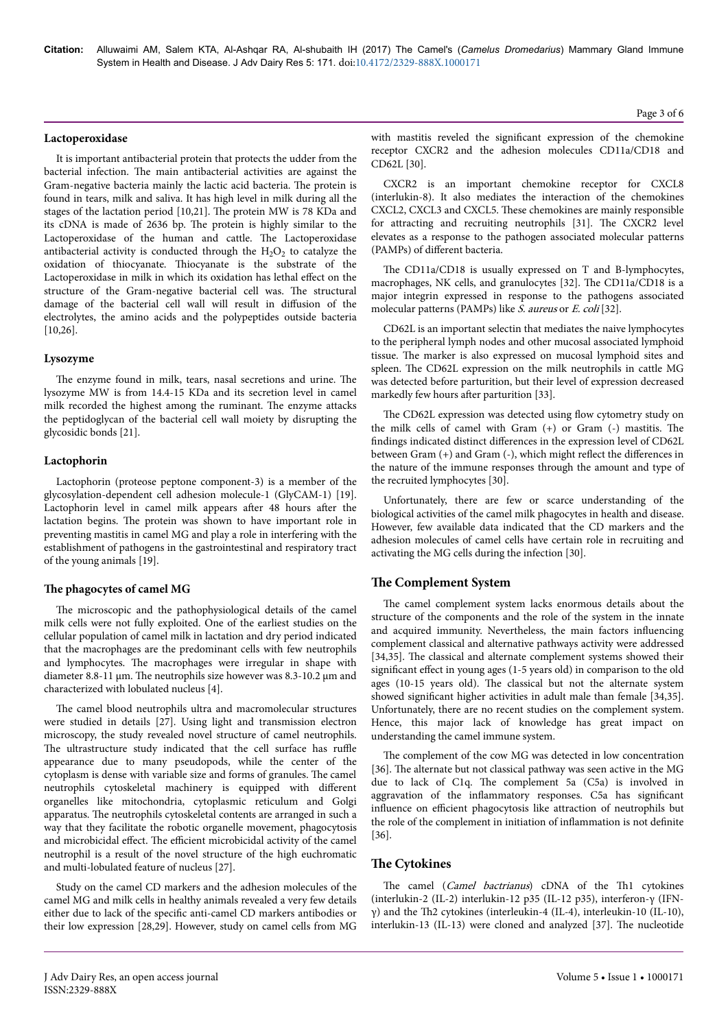**Citation:** Alluwaimi AM, Salem KTA, Al-Ashqar RA, Al-shubaith IH (2017) The Camel's (*Camelus Dromedarius*) Mammary Gland Immune System in Health and Disease. J Adv Dairy Res 5: 171. doi:10.4172/2329-888X.1000171

#### **Lactoperoxidase**

It is important antibacterial protein that protects the udder from the bacterial infection. Нe main antibacterial activities are against the Gram-negative bacteria mainly the lactic acid bacteria. Нe protein is found in tears, milk and saliva. It has high level in milk during all the stages of the lactation period [10,21]. Нe protein MW is 78 KDa and its cDNA is made of 2636 bp. Нe protein is highly similar to the Lactoperoxidase of the human and cattle. Нe Lactoperoxidase antibacterial activity is conducted through the  $H_2O_2$  to catalyze the oxidation of thiocyanate. Thiocyanate is the substrate of the Lactoperoxidase in milk in which its oxidation has lethal effect on the structure of the Gram-negative bacterial cell was. Нe structural damage of the bacterial cell wall will result in diffusion of the electrolytes, the amino acids and the polypeptides outside bacteria [10,26].

#### **Lysozyme**

The enzyme found in milk, tears, nasal secretions and urine. The lysozyme MW is from 14.4-15 KDa and its secretion level in camel milk recorded the highest among the ruminant. Нe enzyme attacks the peptidoglycan of the bacterial cell wall moiety by disrupting the glycosidic bonds [21].

#### **Lactophorin**

Lactophorin (proteose peptone component-3) is a member of the glycosylation-dependent cell adhesion molecule-1 (GlyCAM-1) [19]. Lactophorin level in camel milk appears after 48 hours after the lactation begins. Нe protein was shown to have important role in preventing mastitis in camel MG and play a role in interfering with the establishment of pathogens in the gastrointestinal and respiratory tract of the young animals [19].

#### The phagocytes of camel MG

The microscopic and the pathophysiological details of the camel milk cells were not fully exploited. One of the earliest studies on the cellular population of camel milk in lactation and dry period indicated that the macrophages are the predominant cells with few neutrophils and lymphocytes. Нe macrophages were irregular in shape with diameter 8.8-11 μm. Нe neutrophils size however was 8.3-10.2 μm and characterized with lobulated nucleus [4].

The camel blood neutrophils ultra and macromolecular structures were studied in details [27]. Using light and transmission electron microscopy, the study revealed novel structure of camel neutrophils. The ultrastructure study indicated that the cell surface has ruffle appearance due to many pseudopods, while the center of the cytoplasm is dense with variable size and forms of granules. Нe camel neutrophils cytoskeletal machinery is equipped with different organelles like mitochondria, cytoplasmic reticulum and Golgi apparatus. Нe neutrophils cytoskeletal contents are arranged in such a way that they facilitate the robotic organelle movement, phagocytosis and microbicidal effect. The efficient microbicidal activity of the camel neutrophil is a result of the novel structure of the high euchromatic and multi-lobulated feature of nucleus [27].

Study on the camel CD markers and the adhesion molecules of the camel MG and milk cells in healthy animals revealed a very few details either due to lack of the specific anti-camel CD markers antibodies or their low expression [28,29]. However, study on camel cells from MG

with mastitis reveled the significant expression of the chemokine receptor CXCR2 and the adhesion molecules CD11a/CD18 and CD62L [30].

CXCR2 is an important chemokine receptor for CXCL8 (interlukin-8). It also mediates the interaction of the chemokines CXCL2, CXCL3 and CXCL5. Нese chemokines are mainly responsible for attracting and recruiting neutrophils [31]. Нe CXCR2 level elevates as a response to the pathogen associated molecular patterns (PAMPs) of different bacteria.

The CD11a/CD18 is usually expressed on T and B-lymphocytes, macrophages, NK cells, and granulocytes [32]. Нe CD11a/CD18 is a major integrin expressed in response to the pathogens associated molecular patterns (PAMPs) like S. aureus or E. coli [32].

CD62L is an important selectin that mediates the naive lymphocytes to the peripheral lymph nodes and other mucosal associated lymphoid tissue. Нe marker is also expressed on mucosal lymphoid sites and spleen. Нe CD62L expression on the milk neutrophils in cattle MG was detected before parturition, but their level of expression decreased markedly few hours after parturition [33].

The CD62L expression was detected using flow cytometry study on the milk cells of camel with Gram (+) or Gram (-) mastitis. Нe findings indicated distinct differences in the expression level of CD62L between Gram  $(+)$  and Gram  $(-)$ , which might reflect the differences in the nature of the immune responses through the amount and type of the recruited lymphocytes [30].

Unfortunately, there are few or scarce understanding of the biological activities of the camel milk phagocytes in health and disease. However, few available data indicated that the CD markers and the adhesion molecules of camel cells have certain role in recruiting and activating the MG cells during the infection [30].

#### **The Complement System**

The camel complement system lacks enormous details about the structure of the components and the role of the system in the innate and acquired immunity. Nevertheless, the main factors influencing complement classical and alternative pathways activity were addressed [34,35]. Нe classical and alternate complement systems showed their significant effect in young ages (1-5 years old) in comparison to the old ages (10-15 years old). Нe classical but not the alternate system showed significant higher activities in adult male than female [34,35]. Unfortunately, there are no recent studies on the complement system. Hence, this major lack of knowledge has great impact on understanding the camel immune system.

The complement of the cow MG was detected in low concentration [36]. The alternate but not classical pathway was seen active in the MG due to lack of C1q. Нe complement 5a (C5a) is involved in aggravation of the inflammatory responses. C5a has significant influence on efficient phagocytosis like attraction of neutrophils but the role of the complement in initiation of inflammation is not definite [36].

# **The Cytokines**

The camel (Camel bactrianus) cDNA of the Th1 cytokines (interlukin-2 (IL-2) interlukin-12 p35 (IL-12 p35), interferon-γ (IFNγ) and the Н2 cytokines (interleukin-4 (IL-4), interleukin-10 (IL-10), interlukin-13 (IL-13) were cloned and analyzed [37]. Нe nucleotide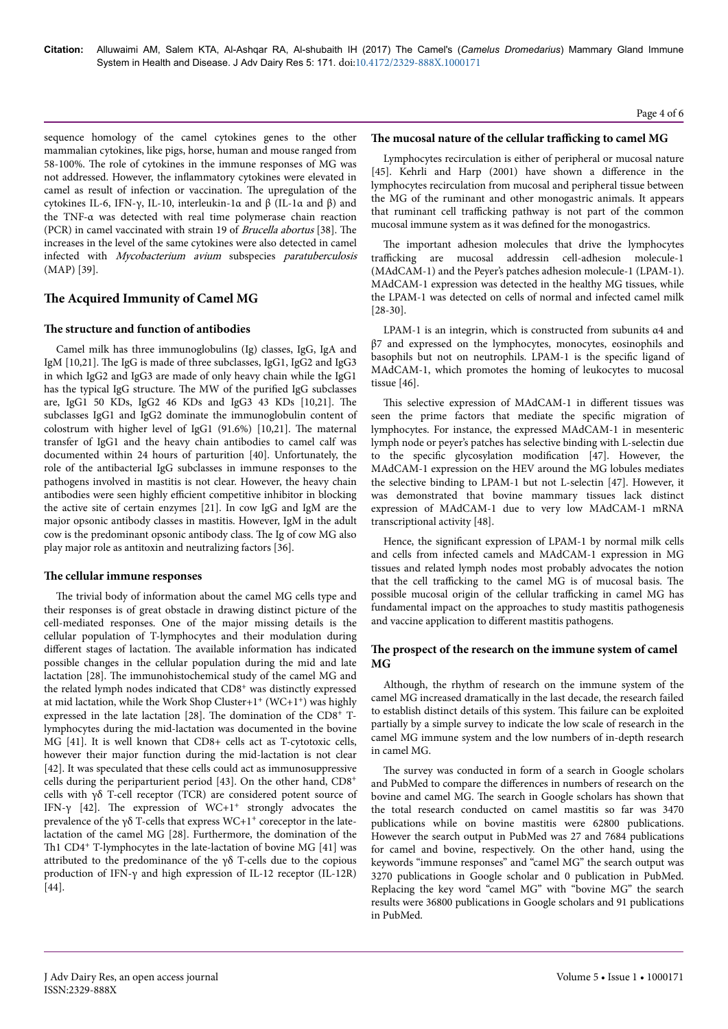sequence homology of the camel cytokines genes to the other mammalian cytokines, like pigs, horse, human and mouse ranged from 58-100%. Нe role of cytokines in the immune responses of MG was not addressed. However, the inflammatory cytokines were elevated in camel as result of infection or vaccination. Нe upregulation of the cytokines IL-6, IFN-γ, IL-10, interleukin-1α and β (IL-1α and β) and the TNF-α was detected with real time polymerase chain reaction (PCR) in camel vaccinated with strain 19 of Brucella abortus [38]. Нe increases in the level of the same cytokines were also detected in camel infected with Mycobacterium avium subspecies paratuberculosis (MAP) [39].

# **The Acquired Immunity of Camel MG**

# The structure and function of antibodies

Camel milk has three immunoglobulins (Ig) classes, IgG, IgA and IgM [10,21]. Нe IgG is made of three subclasses, IgG1, IgG2 and IgG3 in which IgG2 and IgG3 are made of only heavy chain while the IgG1 has the typical IgG structure. Нe MW of the purified IgG subclasses are, IgG1 50 KDs, IgG2 46 KDs and IgG3 43 KDs [10,21]. Нe subclasses IgG1 and IgG2 dominate the immunoglobulin content of colostrum with higher level of IgG1 (91.6%) [10,21]. Нe maternal transfer of IgG1 and the heavy chain antibodies to camel calf was documented within 24 hours of parturition [40]. Unfortunately, the role of the antibacterial IgG subclasses in immune responses to the pathogens involved in mastitis is not clear. However, the heavy chain antibodies were seen highly efficient competitive inhibitor in blocking the active site of certain enzymes [21]. In cow IgG and IgM are the major opsonic antibody classes in mastitis. However, IgM in the adult cow is the predominant opsonic antibody class. Нe Ig of cow MG also play major role as antitoxin and neutralizing factors [36].

# **The cellular immune responses**

The trivial body of information about the camel MG cells type and their responses is of great obstacle in drawing distinct picture of the cell-mediated responses. One of the major missing details is the cellular population of T-lymphocytes and their modulation during different stages of lactation. The available information has indicated possible changes in the cellular population during the mid and late lactation [28]. Нe immunohistochemical study of the camel MG and the related lymph nodes indicated that CD8<sup>+</sup> was distinctly expressed at mid lactation, while the Work Shop Cluster+1<sup>+</sup> (WC+1<sup>+</sup>) was highly expressed in the late lactation [28]. Нe domination of the CD8<sup>+</sup> Tlymphocytes during the mid-lactation was documented in the bovine MG [41]. It is well known that CD8+ cells act as T-cytotoxic cells, however their major function during the mid-lactation is not clear [42]. It was speculated that these cells could act as immunosuppressive cells during the periparturient period [43]. On the other hand, CD8<sup>+</sup> cells with γδ T-cell receptor (TCR) are considered potent source of IFN- $\gamma$  [42]. The expression of WC+1<sup>+</sup> strongly advocates the prevalence of the γδ T-cells that express  $WC+1^+$  coreceptor in the latelactation of the camel MG [28]. Furthermore, the domination of the Th1 CD4<sup>+</sup> T-lymphocytes in the late-lactation of bovine MG [41] was attributed to the predominance of the  $\gamma\delta$  T-cells due to the copious production of IFN-γ and high expression of IL-12 receptor (IL-12R) [44].

# The mucosal nature of the cellular trafficking to camel MG

Lymphocytes recirculation is either of peripheral or mucosal nature [45]. Kehrli and Harp (2001) have shown a difference in the lymphocytes recirculation from mucosal and peripheral tissue between the MG of the ruminant and other monogastric animals. It appears that ruminant cell trafficking pathway is not part of the common mucosal immune system as it was defined for the monogastrics.

The important adhesion molecules that drive the lymphocytes trafficking are mucosal addressin cell-adhesion molecule-1 (MAdCAM-1) and the Peyer's patches adhesion molecule-1 (LPAM-1). MAdCAM-1 expression was detected in the healthy MG tissues, while the LPAM-1 was detected on cells of normal and infected camel milk [28-30].

LPAM-1 is an integrin, which is constructed from subunits α4 and β7 and expressed on the lymphocytes, monocytes, eosinophils and basophils but not on neutrophils. LPAM-1 is the specific ligand of MAdCAM-1, which promotes the homing of leukocytes to mucosal tissue [46].

This selective expression of MAdCAM-1 in different tissues was seen the prime factors that mediate the specific migration of lymphocytes. For instance, the expressed MAdCAM-1 in mesenteric lymph node or peyer's patches has selective binding with L-selectin due to the specific glycosylation modification [47]. However, the MAdCAM-1 expression on the HEV around the MG lobules mediates the selective binding to LPAM-1 but not L-selectin [47]. However, it was demonstrated that bovine mammary tissues lack distinct expression of MAdCAM-1 due to very low MAdCAM-1 mRNA transcriptional activity [48].

Hence, the significant expression of LPAM-1 by normal milk cells and cells from infected camels and MAdCAM-1 expression in MG tissues and related lymph nodes most probably advocates the notion that the cell trafficking to the camel MG is of mucosal basis. Нe possible mucosal origin of the cellular trafficking in camel MG has fundamental impact on the approaches to study mastitis pathogenesis and vaccine application to different mastitis pathogens.

# The prospect of the research on the immune system of camel **MG**

Although, the rhythm of research on the immune system of the camel MG increased dramatically in the last decade, the research failed to establish distinct details of this system. Нis failure can be exploited partially by a simple survey to indicate the low scale of research in the camel MG immune system and the low numbers of in-depth research in camel MG.

The survey was conducted in form of a search in Google scholars and PubMed to compare the differences in numbers of research on the bovine and camel MG. Нe search in Google scholars has shown that the total research conducted on camel mastitis so far was 3470 publications while on bovine mastitis were 62800 publications. However the search output in PubMed was 27 and 7684 publications for camel and bovine, respectively. On the other hand, using the keywords "immune responses" and "camel MG" the search output was 3270 publications in Google scholar and 0 publication in PubMed. Replacing the key word "camel MG" with "bovine MG" the search results were 36800 publications in Google scholars and 91 publications in PubMed.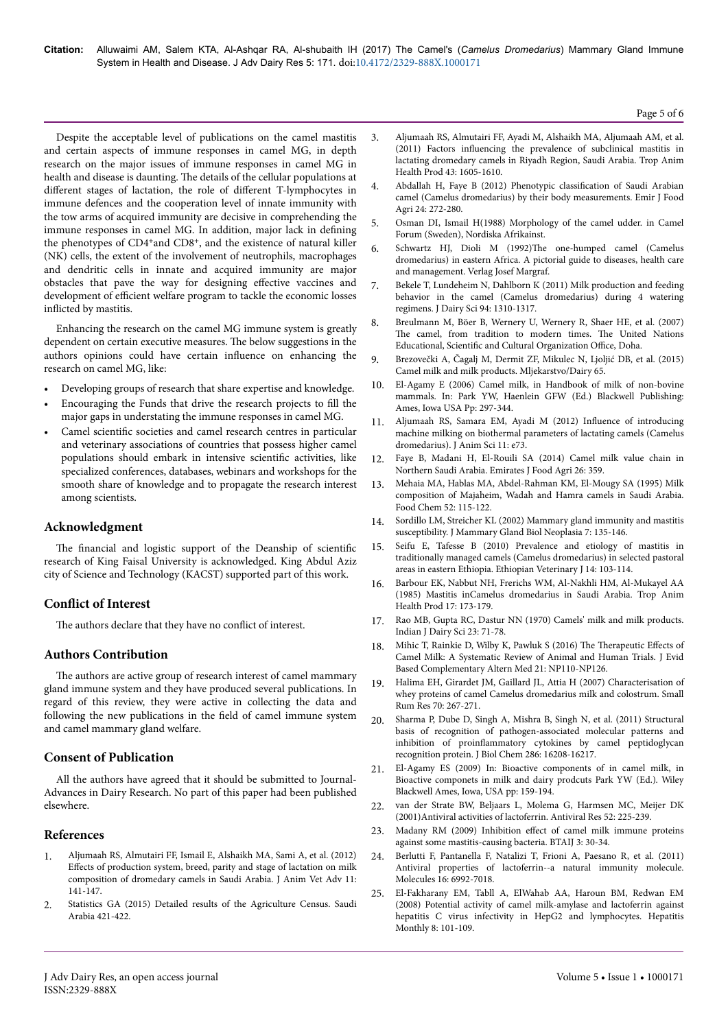Despite the acceptable level of publications on the camel mastitis and certain aspects of immune responses in camel MG, in depth research on the major issues of immune responses in camel MG in health and disease is daunting. Нe details of the cellular populations at different stages of lactation, the role of different T-lymphocytes in immune defences and the cooperation level of innate immunity with the tow arms of acquired immunity are decisive in comprehending the immune responses in camel MG. In addition, major lack in defining the phenotypes of CD4<sup>+</sup>and CD8<sup>+</sup>, and the existence of natural killer (NK) cells, the extent of the involvement of neutrophils, macrophages and dendritic cells in innate and acquired immunity are major obstacles that pave the way for designing effective vaccines and development of efficient welfare program to tackle the economic losses inflicted by mastitis.

Enhancing the research on the camel MG immune system is greatly dependent on certain executive measures. Нe below suggestions in the authors opinions could have certain influence on enhancing the research on camel MG, like:

- Developing groups of research that share expertise and knowledge.
- Encouraging the Funds that drive the research projects to fill the major gaps in understating the immune responses in camel MG.
- Camel scientific societies and camel research centres in particular and veterinary associations of countries that possess higher camel populations should embark in intensive scientific activities, like specialized conferences, databases, webinars and workshops for the smooth share of knowledge and to propagate the research interest among scientists.

# **Acknowledgment**

The financial and logistic support of the Deanship of scientific research of King Faisal University is acknowledged. King Abdul Aziz city of Science and Technology (KACST) supported part of this work.

# **Conflict of Interest**

The authors declare that they have no conflict of interest.

# **Authors Contribution**

The authors are active group of research interest of camel mammary gland immune system and they have produced several publications. In regard of this review, they were active in collecting the data and following the new publications in the field of camel immune system and camel mammary gland welfare.

# **Consent of Publication**

All the authors have agreed that it should be submitted to Journal-Advances in Dairy Research. No part of this paper had been published elsewhere.

# **References**

- 1. [Aljumaah RS, Almutairi FF, Ismail E, Alshaikh MA, Sami A, et al. \(2012\)](http://dx.doi.org/10.3923/javaa.2012.141.147) Effects [of production system, breed, parity and stage of lactation on milk](http://dx.doi.org/10.3923/javaa.2012.141.147) [composition of dromedary camels in Saudi Arabia. J Anim Vet Adv 11:](http://dx.doi.org/10.3923/javaa.2012.141.147) [141-147.](http://dx.doi.org/10.3923/javaa.2012.141.147)
- 2. [Statistics GA \(2015\) Detailed results of the Agriculture Census. Saudi](https://www.stats.gov.sa/en/1311) [Arabia 421-422.](https://www.stats.gov.sa/en/1311)
- 3. [Aljumaah RS, Almutairi FF, Ayadi M, Alshaikh MA, Aljumaah AM, et al.](https://doi.org/10.1007/s11250-011-9877-2) (2011) Factors influencing [the prevalence of subclinical mastitis in](https://doi.org/10.1007/s11250-011-9877-2) [lactating dromedary camels in Riyadh Region, Saudi Arabia. Trop Anim](https://doi.org/10.1007/s11250-011-9877-2) [Health Prod 43: 1605-1610.](https://doi.org/10.1007/s11250-011-9877-2)
- 4. [Abdallah H, Faye B \(2012\) Phenotypic](http://agritrop.cirad.fr/564014/1/document_564014.pdf) classification of Saudi Arabian [camel \(Camelus dromedarius\) by their body measurements. Emir J Food](http://agritrop.cirad.fr/564014/1/document_564014.pdf) [Agri 24: 272-280.](http://agritrop.cirad.fr/564014/1/document_564014.pdf)
- 5. [Osman DI, Ismail H\(1988\) Morphology of the camel udder. in Camel](http://www.worldcat.org/title/morphology-of-the-camel-udder/oclc/24765001) [Forum \(Sweden\), Nordiska Afrikainst.](http://www.worldcat.org/title/morphology-of-the-camel-udder/oclc/24765001)
- 6. Schwartz HJ, Dioli M (1992)The [one-humped camel \(Camelus](https://www.researchgate.net/publication/251231251_The_One-Humped_Camel_in_Eastern_Africa_A_pictorial_guide_to_diseases_health_care_and_management) [dromedarius\) in eastern Africa. A pictorial guide to diseases, health care](https://www.researchgate.net/publication/251231251_The_One-Humped_Camel_in_Eastern_Africa_A_pictorial_guide_to_diseases_health_care_and_management) [and management. Verlag Josef Margraf.](https://www.researchgate.net/publication/251231251_The_One-Humped_Camel_in_Eastern_Africa_A_pictorial_guide_to_diseases_health_care_and_management)
- 7. [Bekele T, Lundeheim N, Dahlborn K \(2011\) Milk production and feeding](https://doi.org/10.3168/jds.2010-3654) [behavior in the camel \(Camelus dromedarius\) during 4 watering](https://doi.org/10.3168/jds.2010-3654) [regimens. J Dairy Sci 94: 1310-1317.](https://doi.org/10.3168/jds.2010-3654)
- 8. [Breulmann M, Böer B, Wernery U, Wernery R, Shaer HE, et al. \(2007\)](http://unesdoc.unesco.org/Ulis/cgi-bin/ulis.pl?catno=224033&set=534E5F56_2_0&gp=0&lin=1&ll=s) The [camel, from tradition to modern times.](http://unesdoc.unesco.org/Ulis/cgi-bin/ulis.pl?catno=224033&set=534E5F56_2_0&gp=0&lin=1&ll=s) The United Nations Educational, Scientific [and Cultural Organization](http://unesdoc.unesco.org/Ulis/cgi-bin/ulis.pl?catno=224033&set=534E5F56_2_0&gp=0&lin=1&ll=s) Office, Doha.
- 9. [Brezovečki A, Čagalj M, Dermit ZF, Mikulec N, Ljoljić DB, et al. \(2015\)](https://www.google.co.in/url?sa=t&rct=j&q=&esrc=s&source=web&cd=1&ved=0ahUKEwjn9veMsOXSAhUPSo8KHTBfAMMQFggbMAA&url=http%3A%2F%2Fhrcak.srce.hr%2Ffile%2F203026&usg=AFQjCNF-6z8LVWkjjcWco3KubOedsKUcJQ) [Camel milk and milk products. Mljekarstvo/Dairy 65.](https://www.google.co.in/url?sa=t&rct=j&q=&esrc=s&source=web&cd=1&ved=0ahUKEwjn9veMsOXSAhUPSo8KHTBfAMMQFggbMAA&url=http%3A%2F%2Fhrcak.srce.hr%2Ffile%2F203026&usg=AFQjCNF-6z8LVWkjjcWco3KubOedsKUcJQ)
- 10. [El-Agamy E \(2006\) Camel milk, in Handbook of milk of non-bovine](http://as.wiley.com/WileyCDA/WileyTitle/productCd-0813820510.html) [mammals. In: Park YW, Haenlein GFW \(Ed.\) Blackwell Publishing:](http://as.wiley.com/WileyCDA/WileyTitle/productCd-0813820510.html) [Ames, Iowa USA Pp: 297-344.](http://as.wiley.com/WileyCDA/WileyTitle/productCd-0813820510.html)
- 11. [Aljumaah RS, Samara EM, Ayadi M \(2012\)](http://www.tandfonline.com/action/showCitFormats?doi=10.4081/ijas.2012.e73) Influence of introducing [machine milking on biothermal parameters of lactating camels \(Camelus](http://www.tandfonline.com/action/showCitFormats?doi=10.4081/ijas.2012.e73) [dromedarius\). J Anim Sci 11: e73.](http://www.tandfonline.com/action/showCitFormats?doi=10.4081/ijas.2012.e73)
- 12. [Faye B, Madani H, El-Rouili SA \(2014\) Camel milk value chain in](http://publications.cirad.fr/une_notice.php?dk=572463) [Northern Saudi Arabia. Emirates J Food Agri 26: 359.](http://publications.cirad.fr/une_notice.php?dk=572463)
- 13. [Mehaia MA, Hablas MA, Abdel-Rahman KM, El-Mougy SA \(1995\) Milk](http://dx.doi.org/10.1016/0308-8146(94)P4189-M) [composition of Majaheim, Wadah and Hamra camels in Saudi Arabia.](http://dx.doi.org/10.1016/0308-8146(94)P4189-M) [Food Chem 52: 115-122.](http://dx.doi.org/10.1016/0308-8146(94)P4189-M)
- 14. [Sordillo LM, Streicher KL \(2002\) Mammary gland immunity and mastitis](http://dx.doi.org/10.1023/A:1020347818725) [susceptibility. J Mammary Gland Biol Neoplasia 7: 135-146.](http://dx.doi.org/10.1023/A:1020347818725)
- 15. [Seifu E, Tafesse B \(2010\) Prevalence and etiology of mastitis in](http://dx.doi.org/10.4314/evj.v14i2.63887) [traditionally managed camels \(Camelus dromedarius\) in selected pastoral](http://dx.doi.org/10.4314/evj.v14i2.63887) [areas in eastern Ethiopia. Ethiopian Veterinary J 14: 103-114.](http://dx.doi.org/10.4314/evj.v14i2.63887)
- 16. [Barbour EK, Nabbut NH, Frerichs WM, Al-Nakhli HM, Al-Mukayel AA](https://www.ncbi.nlm.nih.gov/pubmed/4060241) [\(1985\) Mastitis inCamelus dromedarius in Saudi Arabia. Trop Anim](https://www.ncbi.nlm.nih.gov/pubmed/4060241) [Health Prod 17: 173-179.](https://www.ncbi.nlm.nih.gov/pubmed/4060241)
- 17. Rao MB, Gupta RC, Dastur NN (1970) Camels' milk and milk products. Indian J Dairy Sci 23: 71-78.
- 18. [Mihic T, Rainkie D, Wilby K, Pawluk S \(2016\)](http://dx.doi.org/10.1177/2156587216658846) The Therapeutic Effects of [Camel Milk: A Systematic Review of Animal and Human Trials. J Evid](http://dx.doi.org/10.1177/2156587216658846) [Based Complementary Altern Med 21: NP110-NP126.](http://dx.doi.org/10.1177/2156587216658846)
- 19. [Halima EH, Girardet JM, Gaillard JL, Attia H \(2007\) Characterisation of](http://dx.doi.org/10.1016/j.smallrumres.2006.04.001) [whey proteins of camel Camelus dromedarius milk and colostrum. Small](http://dx.doi.org/10.1016/j.smallrumres.2006.04.001) [Rum Res 70: 267-271.](http://dx.doi.org/10.1016/j.smallrumres.2006.04.001)
- 20. [Sharma P, Dube D, Singh A, Mishra B, Singh N, et al. \(2011\) Structural](http://dx.doi.org/10.1074/jbc.M111.228163) [basis of recognition of pathogen-associated molecular patterns and](http://dx.doi.org/10.1074/jbc.M111.228163) inhibition of proinflammatory [cytokines by camel peptidoglycan](http://dx.doi.org/10.1074/jbc.M111.228163) [recognition protein. J Biol Chem 286: 16208-16217.](http://dx.doi.org/10.1074/jbc.M111.228163)
- 21. [El-Agamy ES \(2009\) In: Bioactive components of in camel milk, in](http://as.wiley.com/WileyCDA/WileyTitle/productCd-0813819822.html) [Bioactive componets in milk and dairy prodcuts Park YW \(Ed.\). Wiley](http://as.wiley.com/WileyCDA/WileyTitle/productCd-0813819822.html) [Blackwell Ames, Iowa, USA pp: 159-194.](http://as.wiley.com/WileyCDA/WileyTitle/productCd-0813819822.html)
- 22. [van der Strate BW, Beljaars L, Molema G, Harmsen MC, Meijer DK](http://dx.doi.org/10.1016/S0166-3542(01)00195-4) [\(2001\)Antiviral activities of lactoferrin. Antiviral Res 52: 225-239.](http://dx.doi.org/10.1016/S0166-3542(01)00195-4)
- 23. Madany RM (2009) Inhibition effect [of camel milk immune proteins](http://www.tsijournals.com/articles/inhibition-effect-of-camel-milk-immune-proteins-against-some-mastitiscausing-bacteria.pdf) [against some mastitis-causing bacteria. BTAIJ 3: 30-34.](http://www.tsijournals.com/articles/inhibition-effect-of-camel-milk-immune-proteins-against-some-mastitiscausing-bacteria.pdf)
- 24. [Berlutti F, Pantanella F, Natalizi T, Frioni A, Paesano R, et al. \(2011\)](https://doi.org/10.3390/molecules16086992) [Antiviral properties of lactoferrin--a natural immunity molecule.](https://doi.org/10.3390/molecules16086992) [Molecules 16: 6992-7018.](https://doi.org/10.3390/molecules16086992)
- 25. [El-Fakharany EM, Tabll A, ElWahab AA, Haroun BM, Redwan EM](https://www.researchgate.net/publication/26541853_Potential_Activity_of_Camel_Milk-Amylase_and_Lactoferrin_against_Hepatitis_C_Virus_Infectivity_in_HepG2_and_Lymphocytes) [\(2008\) Potential activity of camel milk-amylase and lactoferrin against](https://www.researchgate.net/publication/26541853_Potential_Activity_of_Camel_Milk-Amylase_and_Lactoferrin_against_Hepatitis_C_Virus_Infectivity_in_HepG2_and_Lymphocytes) [hepatitis C virus infectivity in HepG2 and lymphocytes. Hepatitis](https://www.researchgate.net/publication/26541853_Potential_Activity_of_Camel_Milk-Amylase_and_Lactoferrin_against_Hepatitis_C_Virus_Infectivity_in_HepG2_and_Lymphocytes) [Monthly 8: 101-109.](https://www.researchgate.net/publication/26541853_Potential_Activity_of_Camel_Milk-Amylase_and_Lactoferrin_against_Hepatitis_C_Virus_Infectivity_in_HepG2_and_Lymphocytes)